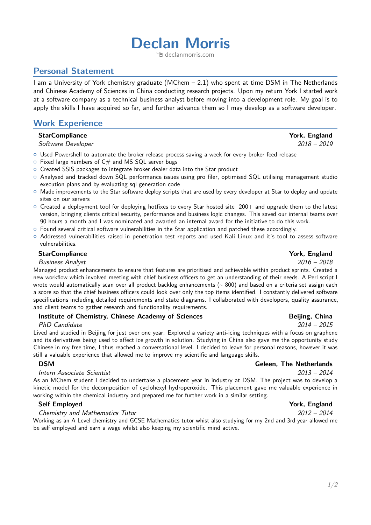# **Declan Morris**

<sup></sub><sup>m</sup> [declanmorris.com](http://declanmorris.com)</sup>

# **Personal Statement**

I am a University of York chemistry graduate (MChem – 2.1) who spent at time DSM in The Netherlands and Chinese Academy of Sciences in China conducting research projects. Upon my return York I started work at a software company as a technical business analyst before moving into a development role. My goal is to apply the skills I have acquired so far, and further advance them so I may develop as a software developer.

# **Work Experience**

#### **StarCompliance** The Complete StarCompliance The Complete StarCompliance The Complete StarCompliance The Complete StartComplete StartComplete StartComplete StartComplete StartComplete StartComplete StartComplete StartCompl

Software Developer 2018 – 2019

- $\circ$  Used Powershell to automate the broker release process saving a week for every broker feed release
- $\circ$  Fixed large numbers of C# and MS SQL server bugs
- $\circ$  Created SSIS packages to integrate broker dealer data into the Star product
- { Analysed and tracked down SQL performance issues using pro filer, optimised SQL utilising management studio execution plans and by evaluating sql generation code
- { Made improvements to the Star software deploy scripts that are used by every developer at Star to deploy and update sites on our servers
- $\circ$  Created a deployment tool for deploying hotfixes to every Star hosted site 200+ and upgrade them to the latest version, bringing clients critical security, performance and business logic changes. This saved our internal teams over 90 hours a month and I was nominated and awarded an internal award for the initiative to do this work.
- $\circ$  Found several critical software vulnerabilities in the Star application and patched these accordingly.
- { Addressed vulnerabilities raised in penetration test reports and used Kali Linux and it's tool to assess software vulnerabilities.

#### **StarCompliance** York, England

#### Business Analyst 2016 – 2018

Managed product enhancements to ensure that features are prioritised and achievable within product sprints. Created a new workflow which involved meeting with chief business officers to get an understanding of their needs. A Perl script I wrote would automatically scan over all product backlog enhancements ( $\sim$  800) and based on a criteria set assign each a score so that the chief business officers could look over only the top items identified. I constantly delivered software specifications including detailed requirements and state diagrams. I collaborated with developers, quality assurance, and client teams to gather research and functionality requirements.

#### **Institute of Chemistry, Chinese Academy of Sciences The China Beijing, China**

#### PhD Candidate 2014 – 2015

Lived and studied in Beijing for just over one year. Explored a variety anti-icing techniques with a focus on graphene and its derivatives being used to affect ice growth in solution. Studying in China also gave me the opportunity study Chinese in my free time, I thus reached a conversational level. I decided to leave for personal reasons, however it was still a valuable experience that allowed me to improve my scientific and language skills.

#### Intern Associate Scientist 2013 – 2014

As an MChem student I decided to undertake a placement year in industry at DSM. The project was to develop a kinetic model for the decomposition of cyclohexyl hydroperoxide. This placement gave me valuable experience in working within the chemical industry and prepared me for further work in a similar setting.

#### **Self Employed York, England**

#### Chemistry and Mathematics Tutor 2012 – 2014

Working as an A Level chemistry and GCSE Mathematics tutor whist also studying for my 2nd and 3rd year allowed me be self employed and earn a wage whilst also keeping my scientific mind active.

# **DSM** Geleen, The Netherlands